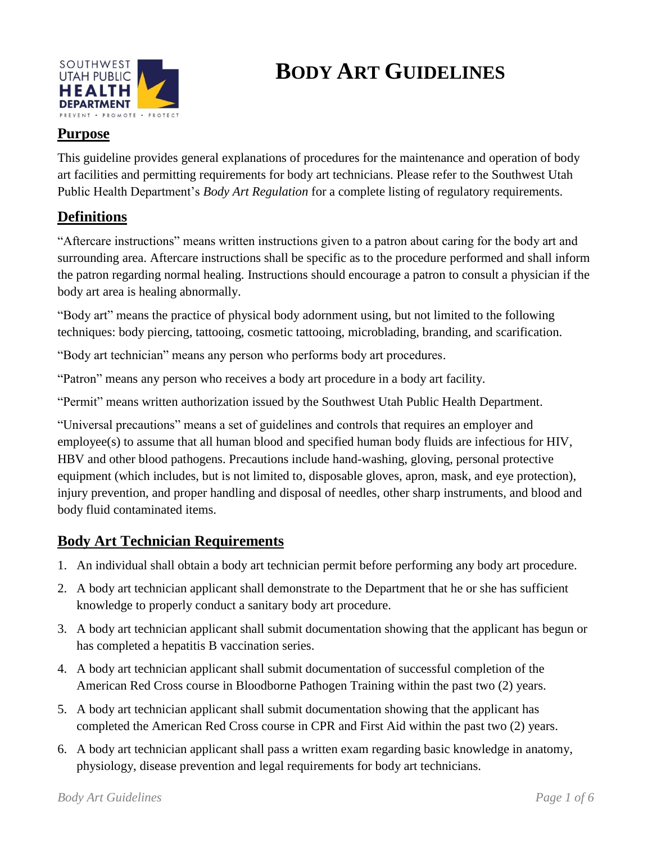

# **BODY ART GUIDELINES**

# **Purpose**

This guideline provides general explanations of procedures for the maintenance and operation of body art facilities and permitting requirements for body art technicians. Please refer to the Southwest Utah Public Health Department's *Body Art Regulation* for a complete listing of regulatory requirements.

## **Definitions**

"Aftercare instructions" means written instructions given to a patron about caring for the body art and surrounding area. Aftercare instructions shall be specific as to the procedure performed and shall inform the patron regarding normal healing. Instructions should encourage a patron to consult a physician if the body art area is healing abnormally.

"Body art" means the practice of physical body adornment using, but not limited to the following techniques: body piercing, tattooing, cosmetic tattooing, microblading, branding, and scarification.

"Body art technician" means any person who performs body art procedures.

"Patron" means any person who receives a body art procedure in a body art facility.

"Permit" means written authorization issued by the Southwest Utah Public Health Department.

"Universal precautions" means a set of guidelines and controls that requires an employer and employee(s) to assume that all human blood and specified human body fluids are infectious for HIV, HBV and other blood pathogens. Precautions include hand-washing, gloving, personal protective equipment (which includes, but is not limited to, disposable gloves, apron, mask, and eye protection), injury prevention, and proper handling and disposal of needles, other sharp instruments, and blood and body fluid contaminated items.

## **Body Art Technician Requirements**

- 1. An individual shall obtain a body art technician permit before performing any body art procedure.
- 2. A body art technician applicant shall demonstrate to the Department that he or she has sufficient knowledge to properly conduct a sanitary body art procedure.
- 3. A body art technician applicant shall submit documentation showing that the applicant has begun or has completed a hepatitis B vaccination series.
- 4. A body art technician applicant shall submit documentation of successful completion of the American Red Cross course in Bloodborne Pathogen Training within the past two (2) years.
- 5. A body art technician applicant shall submit documentation showing that the applicant has completed the American Red Cross course in CPR and First Aid within the past two (2) years.
- 6. A body art technician applicant shall pass a written exam regarding basic knowledge in anatomy, physiology, disease prevention and legal requirements for body art technicians.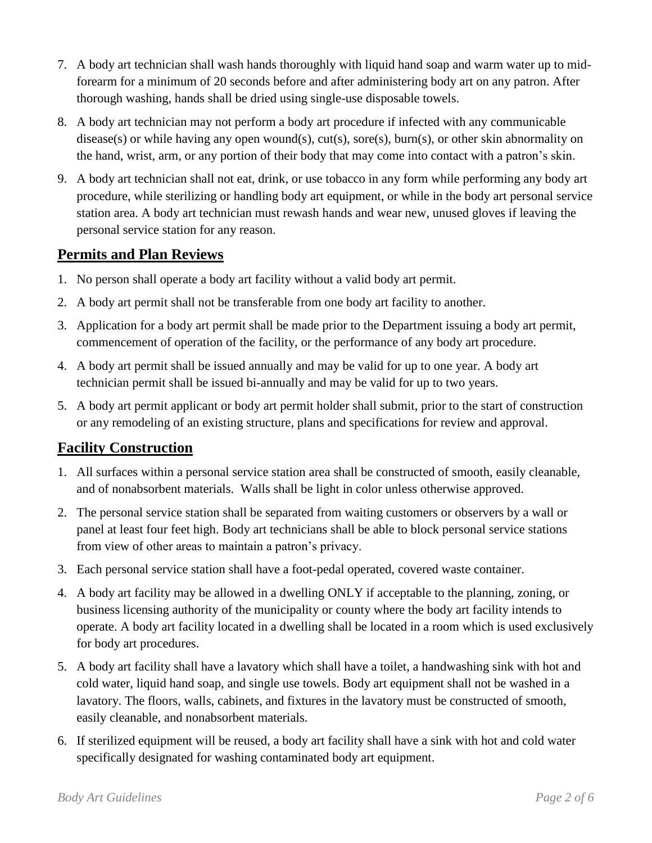- 7. A body art technician shall wash hands thoroughly with liquid hand soap and warm water up to midforearm for a minimum of 20 seconds before and after administering body art on any patron. After thorough washing, hands shall be dried using single-use disposable towels.
- 8. A body art technician may not perform a body art procedure if infected with any communicable disease(s) or while having any open wound(s), cut(s), sore(s), burn(s), or other skin abnormality on the hand, wrist, arm, or any portion of their body that may come into contact with a patron's skin.
- 9. A body art technician shall not eat, drink, or use tobacco in any form while performing any body art procedure, while sterilizing or handling body art equipment, or while in the body art personal service station area. A body art technician must rewash hands and wear new, unused gloves if leaving the personal service station for any reason.

#### **Permits and Plan Reviews**

- 1. No person shall operate a body art facility without a valid body art permit.
- 2. A body art permit shall not be transferable from one body art facility to another.
- 3. Application for a body art permit shall be made prior to the Department issuing a body art permit, commencement of operation of the facility, or the performance of any body art procedure.
- 4. A body art permit shall be issued annually and may be valid for up to one year. A body art technician permit shall be issued bi-annually and may be valid for up to two years.
- 5. A body art permit applicant or body art permit holder shall submit, prior to the start of construction or any remodeling of an existing structure, plans and specifications for review and approval.

## **Facility Construction**

- 1. All surfaces within a personal service station area shall be constructed of smooth, easily cleanable, and of nonabsorbent materials. Walls shall be light in color unless otherwise approved.
- 2. The personal service station shall be separated from waiting customers or observers by a wall or panel at least four feet high. Body art technicians shall be able to block personal service stations from view of other areas to maintain a patron's privacy.
- 3. Each personal service station shall have a foot-pedal operated, covered waste container.
- 4. A body art facility may be allowed in a dwelling ONLY if acceptable to the planning, zoning, or business licensing authority of the municipality or county where the body art facility intends to operate. A body art facility located in a dwelling shall be located in a room which is used exclusively for body art procedures.
- 5. A body art facility shall have a lavatory which shall have a toilet, a handwashing sink with hot and cold water, liquid hand soap, and single use towels. Body art equipment shall not be washed in a lavatory. The floors, walls, cabinets, and fixtures in the lavatory must be constructed of smooth, easily cleanable, and nonabsorbent materials.
- 6. If sterilized equipment will be reused, a body art facility shall have a sink with hot and cold water specifically designated for washing contaminated body art equipment.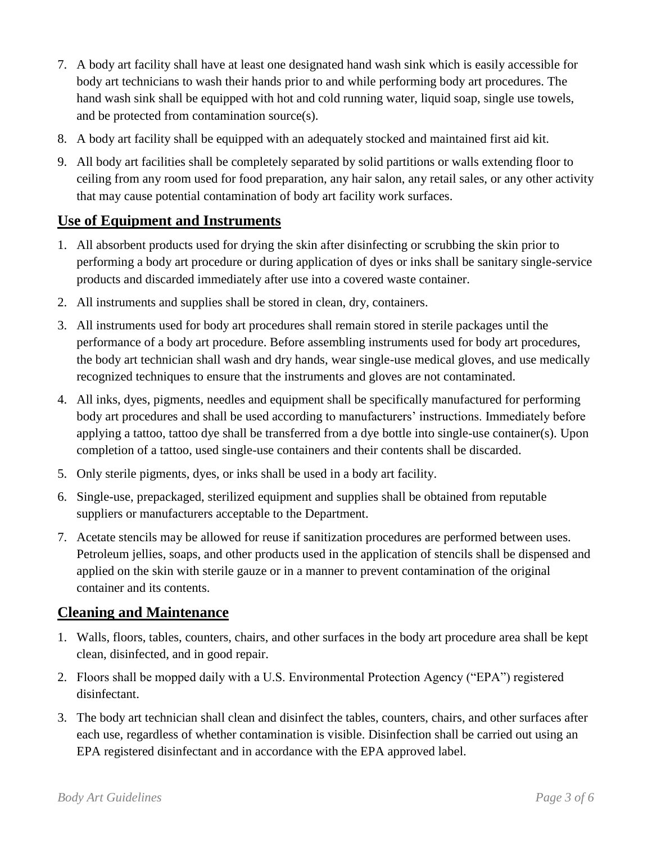- 7. A body art facility shall have at least one designated hand wash sink which is easily accessible for body art technicians to wash their hands prior to and while performing body art procedures. The hand wash sink shall be equipped with hot and cold running water, liquid soap, single use towels, and be protected from contamination source(s).
- 8. A body art facility shall be equipped with an adequately stocked and maintained first aid kit.
- 9. All body art facilities shall be completely separated by solid partitions or walls extending floor to ceiling from any room used for food preparation, any hair salon, any retail sales, or any other activity that may cause potential contamination of body art facility work surfaces.

## **Use of Equipment and Instruments**

- 1. All absorbent products used for drying the skin after disinfecting or scrubbing the skin prior to performing a body art procedure or during application of dyes or inks shall be sanitary single-service products and discarded immediately after use into a covered waste container.
- 2. All instruments and supplies shall be stored in clean, dry, containers.
- 3. All instruments used for body art procedures shall remain stored in sterile packages until the performance of a body art procedure. Before assembling instruments used for body art procedures, the body art technician shall wash and dry hands, wear single-use medical gloves, and use medically recognized techniques to ensure that the instruments and gloves are not contaminated.
- 4. All inks, dyes, pigments, needles and equipment shall be specifically manufactured for performing body art procedures and shall be used according to manufacturers' instructions. Immediately before applying a tattoo, tattoo dye shall be transferred from a dye bottle into single-use container(s). Upon completion of a tattoo, used single-use containers and their contents shall be discarded.
- 5. Only sterile pigments, dyes, or inks shall be used in a body art facility.
- 6. Single-use, prepackaged, sterilized equipment and supplies shall be obtained from reputable suppliers or manufacturers acceptable to the Department.
- 7. Acetate stencils may be allowed for reuse if sanitization procedures are performed between uses. Petroleum jellies, soaps, and other products used in the application of stencils shall be dispensed and applied on the skin with sterile gauze or in a manner to prevent contamination of the original container and its contents.

#### **Cleaning and Maintenance**

- 1. Walls, floors, tables, counters, chairs, and other surfaces in the body art procedure area shall be kept clean, disinfected, and in good repair.
- 2. Floors shall be mopped daily with a U.S. Environmental Protection Agency ("EPA") registered disinfectant.
- 3. The body art technician shall clean and disinfect the tables, counters, chairs, and other surfaces after each use, regardless of whether contamination is visible. Disinfection shall be carried out using an EPA registered disinfectant and in accordance with the EPA approved label.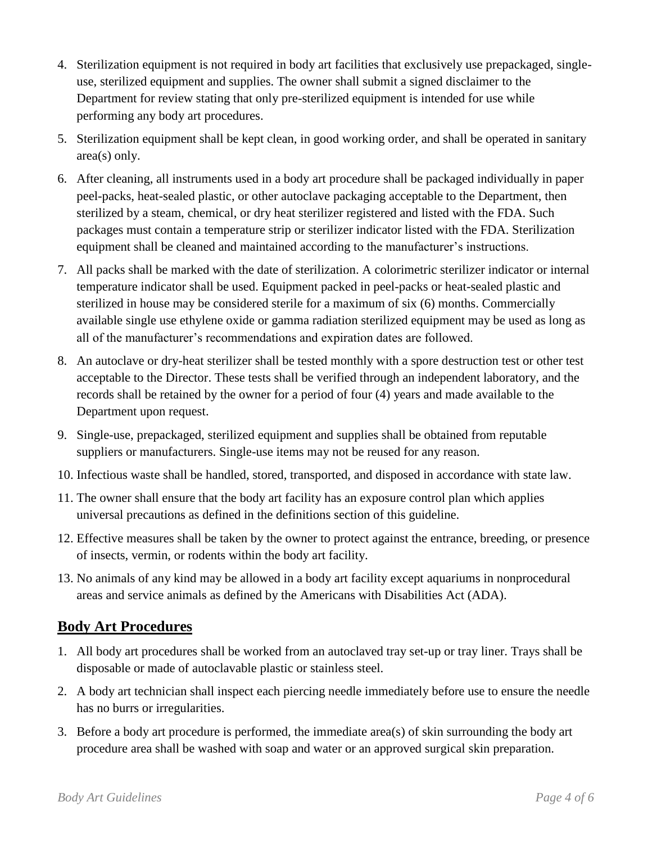- 4. Sterilization equipment is not required in body art facilities that exclusively use prepackaged, singleuse, sterilized equipment and supplies. The owner shall submit a signed disclaimer to the Department for review stating that only pre-sterilized equipment is intended for use while performing any body art procedures.
- 5. Sterilization equipment shall be kept clean, in good working order, and shall be operated in sanitary area(s) only.
- 6. After cleaning, all instruments used in a body art procedure shall be packaged individually in paper peel-packs, heat-sealed plastic, or other autoclave packaging acceptable to the Department, then sterilized by a steam, chemical, or dry heat sterilizer registered and listed with the FDA. Such packages must contain a temperature strip or sterilizer indicator listed with the FDA. Sterilization equipment shall be cleaned and maintained according to the manufacturer's instructions.
- 7. All packs shall be marked with the date of sterilization. A colorimetric sterilizer indicator or internal temperature indicator shall be used. Equipment packed in peel-packs or heat-sealed plastic and sterilized in house may be considered sterile for a maximum of six (6) months. Commercially available single use ethylene oxide or gamma radiation sterilized equipment may be used as long as all of the manufacturer's recommendations and expiration dates are followed.
- 8. An autoclave or dry-heat sterilizer shall be tested monthly with a spore destruction test or other test acceptable to the Director. These tests shall be verified through an independent laboratory, and the records shall be retained by the owner for a period of four (4) years and made available to the Department upon request.
- 9. Single-use, prepackaged, sterilized equipment and supplies shall be obtained from reputable suppliers or manufacturers. Single-use items may not be reused for any reason.
- 10. Infectious waste shall be handled, stored, transported, and disposed in accordance with state law.
- 11. The owner shall ensure that the body art facility has an exposure control plan which applies universal precautions as defined in the definitions section of this guideline.
- 12. Effective measures shall be taken by the owner to protect against the entrance, breeding, or presence of insects, vermin, or rodents within the body art facility.
- 13. No animals of any kind may be allowed in a body art facility except aquariums in nonprocedural areas and service animals as defined by the Americans with Disabilities Act (ADA).

## **Body Art Procedures**

- 1. All body art procedures shall be worked from an autoclaved tray set-up or tray liner. Trays shall be disposable or made of autoclavable plastic or stainless steel.
- 2. A body art technician shall inspect each piercing needle immediately before use to ensure the needle has no burrs or irregularities.
- 3. Before a body art procedure is performed, the immediate area(s) of skin surrounding the body art procedure area shall be washed with soap and water or an approved surgical skin preparation.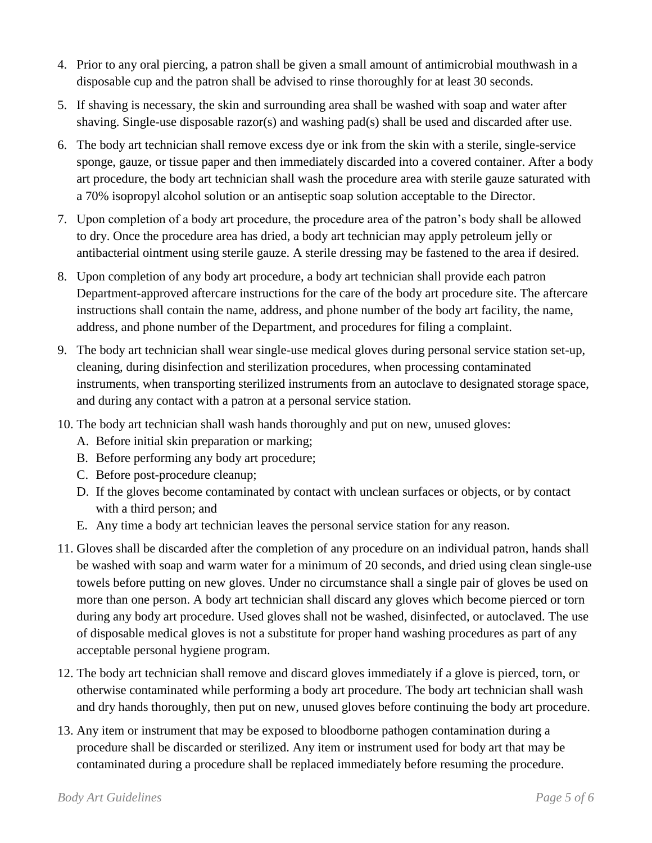- 4. Prior to any oral piercing, a patron shall be given a small amount of antimicrobial mouthwash in a disposable cup and the patron shall be advised to rinse thoroughly for at least 30 seconds.
- 5. If shaving is necessary, the skin and surrounding area shall be washed with soap and water after shaving. Single-use disposable razor(s) and washing pad(s) shall be used and discarded after use.
- 6. The body art technician shall remove excess dye or ink from the skin with a sterile, single-service sponge, gauze, or tissue paper and then immediately discarded into a covered container. After a body art procedure, the body art technician shall wash the procedure area with sterile gauze saturated with a 70% isopropyl alcohol solution or an antiseptic soap solution acceptable to the Director.
- 7. Upon completion of a body art procedure, the procedure area of the patron's body shall be allowed to dry. Once the procedure area has dried, a body art technician may apply petroleum jelly or antibacterial ointment using sterile gauze. A sterile dressing may be fastened to the area if desired.
- 8. Upon completion of any body art procedure, a body art technician shall provide each patron Department-approved aftercare instructions for the care of the body art procedure site. The aftercare instructions shall contain the name, address, and phone number of the body art facility, the name, address, and phone number of the Department, and procedures for filing a complaint.
- 9. The body art technician shall wear single-use medical gloves during personal service station set-up, cleaning, during disinfection and sterilization procedures, when processing contaminated instruments, when transporting sterilized instruments from an autoclave to designated storage space, and during any contact with a patron at a personal service station.
- 10. The body art technician shall wash hands thoroughly and put on new, unused gloves:
	- A. Before initial skin preparation or marking;
	- B. Before performing any body art procedure;
	- C. Before post-procedure cleanup;
	- D. If the gloves become contaminated by contact with unclean surfaces or objects, or by contact with a third person; and
	- E. Any time a body art technician leaves the personal service station for any reason.
- 11. Gloves shall be discarded after the completion of any procedure on an individual patron, hands shall be washed with soap and warm water for a minimum of 20 seconds, and dried using clean single-use towels before putting on new gloves. Under no circumstance shall a single pair of gloves be used on more than one person. A body art technician shall discard any gloves which become pierced or torn during any body art procedure. Used gloves shall not be washed, disinfected, or autoclaved. The use of disposable medical gloves is not a substitute for proper hand washing procedures as part of any acceptable personal hygiene program.
- 12. The body art technician shall remove and discard gloves immediately if a glove is pierced, torn, or otherwise contaminated while performing a body art procedure. The body art technician shall wash and dry hands thoroughly, then put on new, unused gloves before continuing the body art procedure.
- 13. Any item or instrument that may be exposed to bloodborne pathogen contamination during a procedure shall be discarded or sterilized. Any item or instrument used for body art that may be contaminated during a procedure shall be replaced immediately before resuming the procedure.